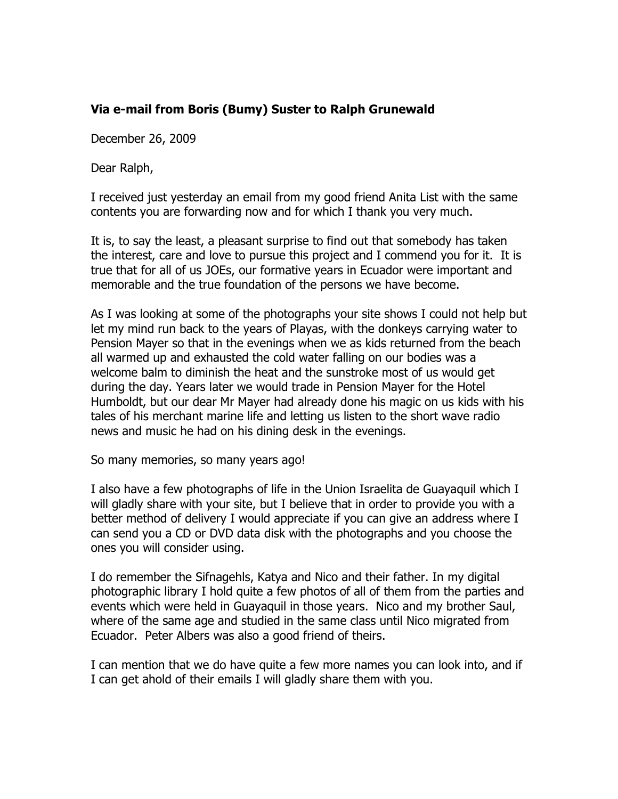## **Via e-mail from Boris (Bumy) Suster to Ralph Grunewald**

December 26, 2009

Dear Ralph,

I received just yesterday an email from my good friend Anita List with the same contents you are forwarding now and for which I thank you very much.

It is, to say the least, a pleasant surprise to find out that somebody has taken the interest, care and love to pursue this project and I commend you for it. It is true that for all of us JOEs, our formative years in Ecuador were important and memorable and the true foundation of the persons we have become.

As I was looking at some of the photographs your site shows I could not help but let my mind run back to the years of Playas, with the donkeys carrying water to Pension Mayer so that in the evenings when we as kids returned from the beach all warmed up and exhausted the cold water falling on our bodies was a welcome balm to diminish the heat and the sunstroke most of us would get during the day. Years later we would trade in Pension Mayer for the Hotel Humboldt, but our dear Mr Mayer had already done his magic on us kids with his tales of his merchant marine life and letting us listen to the short wave radio news and music he had on his dining desk in the evenings.

So many memories, so many years ago!

I also have a few photographs of life in the Union Israelita de Guayaquil which I will gladly share with your site, but I believe that in order to provide you with a better method of delivery I would appreciate if you can give an address where I can send you a CD or DVD data disk with the photographs and you choose the ones you will consider using.

I do remember the Sifnagehls, Katya and Nico and their father. In my digital photographic library I hold quite a few photos of all of them from the parties and events which were held in Guayaquil in those years. Nico and my brother Saul, where of the same age and studied in the same class until Nico migrated from Ecuador. Peter Albers was also a good friend of theirs.

I can mention that we do have quite a few more names you can look into, and if I can get ahold of their emails I will gladly share them with you.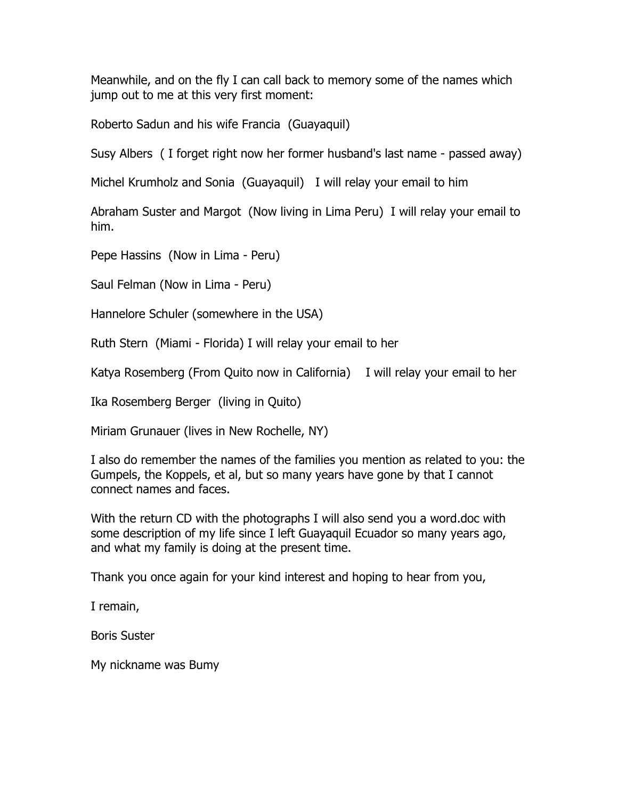Meanwhile, and on the fly I can call back to memory some of the names which jump out to me at this very first moment:

Roberto Sadun and his wife Francia (Guayaquil)

Susy Albers ( I forget right now her former husband's last name - passed away)

Michel Krumholz and Sonia (Guayaquil) I will relay your email to him

Abraham Suster and Margot (Now living in Lima Peru) I will relay your email to him.

Pepe Hassins (Now in Lima - Peru)

Saul Felman (Now in Lima - Peru)

Hannelore Schuler (somewhere in the USA)

Ruth Stern (Miami - Florida) I will relay your email to her

Katya Rosemberg (From Quito now in California) I will relay your email to her

Ika Rosemberg Berger (living in Quito)

Miriam Grunauer (lives in New Rochelle, NY)

I also do remember the names of the families you mention as related to you: the Gumpels, the Koppels, et al, but so many years have gone by that I cannot connect names and faces.

With the return CD with the photographs I will also send you a word.doc with some description of my life since I left Guayaquil Ecuador so many years ago, and what my family is doing at the present time.

Thank you once again for your kind interest and hoping to hear from you,

I remain,

Boris Suster

My nickname was Bumy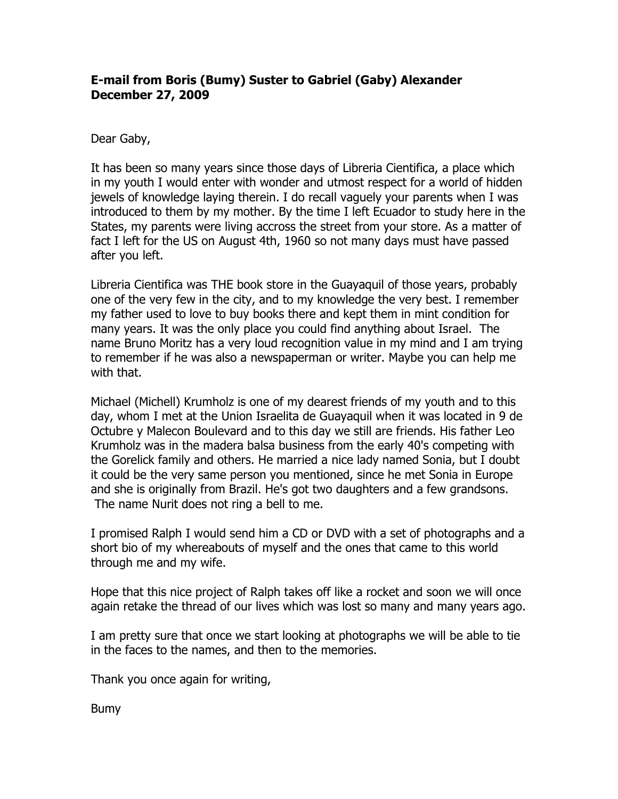## **E-mail from Boris (Bumy) Suster to Gabriel (Gaby) Alexander December 27, 2009**

Dear Gaby,

It has been so many years since those days of Libreria Cientifica, a place which in my youth I would enter with wonder and utmost respect for a world of hidden jewels of knowledge laying therein. I do recall vaguely your parents when I was introduced to them by my mother. By the time I left Ecuador to study here in the States, my parents were living accross the street from your store. As a matter of fact I left for the US on August 4th, 1960 so not many days must have passed after you left.

Libreria Cientifica was THE book store in the Guayaquil of those years, probably one of the very few in the city, and to my knowledge the very best. I remember my father used to love to buy books there and kept them in mint condition for many years. It was the only place you could find anything about Israel. The name Bruno Moritz has a very loud recognition value in my mind and I am trying to remember if he was also a newspaperman or writer. Maybe you can help me with that.

Michael (Michell) Krumholz is one of my dearest friends of my youth and to this day, whom I met at the Union Israelita de Guayaquil when it was located in 9 de Octubre y Malecon Boulevard and to this day we still are friends. His father Leo Krumholz was in the madera balsa business from the early 40's competing with the Gorelick family and others. He married a nice lady named Sonia, but I doubt it could be the very same person you mentioned, since he met Sonia in Europe and she is originally from Brazil. He's got two daughters and a few grandsons. The name Nurit does not ring a bell to me.

I promised Ralph I would send him a CD or DVD with a set of photographs and a short bio of my whereabouts of myself and the ones that came to this world through me and my wife.

Hope that this nice project of Ralph takes off like a rocket and soon we will once again retake the thread of our lives which was lost so many and many years ago.

I am pretty sure that once we start looking at photographs we will be able to tie in the faces to the names, and then to the memories.

Thank you once again for writing,

Bumy